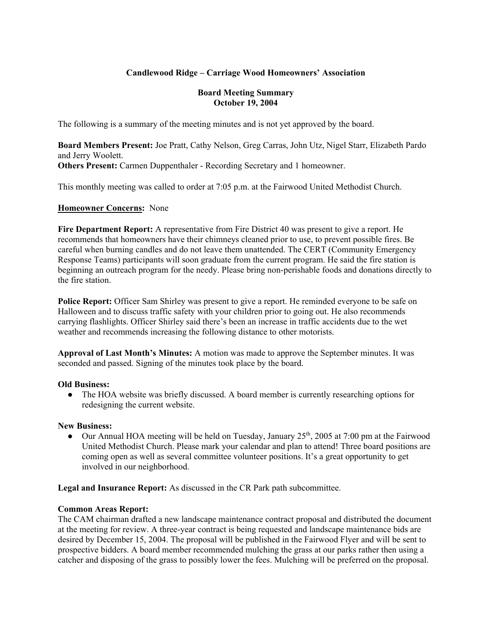## **Candlewood Ridge – Carriage Wood Homeowners' Association**

#### **Board Meeting Summary October 19, 2004**

The following is a summary of the meeting minutes and is not yet approved by the board.

**Board Members Present:** Joe Pratt, Cathy Nelson, Greg Carras, John Utz, Nigel Starr, Elizabeth Pardo and Jerry Woolett. **Others Present:** Carmen Duppenthaler - Recording Secretary and 1 homeowner.

This monthly meeting was called to order at 7:05 p.m. at the Fairwood United Methodist Church.

### **Homeowner Concerns:** None

**Fire Department Report:** A representative from Fire District 40 was present to give a report. He recommends that homeowners have their chimneys cleaned prior to use, to prevent possible fires. Be careful when burning candles and do not leave them unattended. The CERT (Community Emergency Response Teams) participants will soon graduate from the current program. He said the fire station is beginning an outreach program for the needy. Please bring non-perishable foods and donations directly to the fire station.

**Police Report:** Officer Sam Shirley was present to give a report. He reminded everyone to be safe on Halloween and to discuss traffic safety with your children prior to going out. He also recommends carrying flashlights. Officer Shirley said there's been an increase in traffic accidents due to the wet weather and recommends increasing the following distance to other motorists.

**Approval of Last Month's Minutes:** A motion was made to approve the September minutes. It was seconded and passed. Signing of the minutes took place by the board.

#### **Old Business:**

• The HOA website was briefly discussed. A board member is currently researching options for redesigning the current website.

#### **New Business:**

• Our Annual HOA meeting will be held on Tuesday, January  $25<sup>th</sup>$ , 2005 at 7:00 pm at the Fairwood United Methodist Church. Please mark your calendar and plan to attend! Three board positions are coming open as well as several committee volunteer positions. It's a great opportunity to get involved in our neighborhood.

**Legal and Insurance Report:** As discussed in the CR Park path subcommittee.

#### **Common Areas Report:**

The CAM chairman drafted a new landscape maintenance contract proposal and distributed the document at the meeting for review. A three-year contract is being requested and landscape maintenance bids are desired by December 15, 2004. The proposal will be published in the Fairwood Flyer and will be sent to prospective bidders. A board member recommended mulching the grass at our parks rather then using a catcher and disposing of the grass to possibly lower the fees. Mulching will be preferred on the proposal.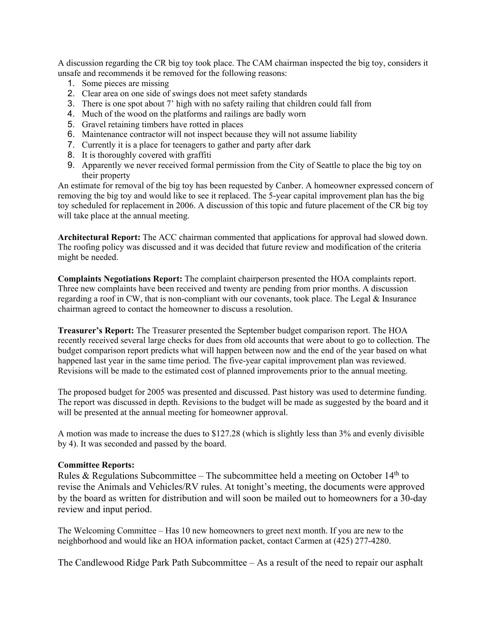A discussion regarding the CR big toy took place. The CAM chairman inspected the big toy, considers it unsafe and recommends it be removed for the following reasons:

- 1. Some pieces are missing
- 2. Clear area on one side of swings does not meet safety standards
- 3. There is one spot about 7' high with no safety railing that children could fall from
- 4. Much of the wood on the platforms and railings are badly worn
- 5. Gravel retaining timbers have rotted in places
- 6. Maintenance contractor will not inspect because they will not assume liability
- 7. Currently it is a place for teenagers to gather and party after dark
- 8. It is thoroughly covered with graffiti
- 9. Apparently we never received formal permission from the City of Seattle to place the big toy on their property

An estimate for removal of the big toy has been requested by Canber. A homeowner expressed concern of removing the big toy and would like to see it replaced. The 5-year capital improvement plan has the big toy scheduled for replacement in 2006. A discussion of this topic and future placement of the CR big toy will take place at the annual meeting.

**Architectural Report:** The ACC chairman commented that applications for approval had slowed down. The roofing policy was discussed and it was decided that future review and modification of the criteria might be needed.

**Complaints Negotiations Report:** The complaint chairperson presented the HOA complaints report. Three new complaints have been received and twenty are pending from prior months. A discussion regarding a roof in CW, that is non-compliant with our covenants, took place. The Legal & Insurance chairman agreed to contact the homeowner to discuss a resolution.

**Treasurer's Report:** The Treasurer presented the September budget comparison report. The HOA recently received several large checks for dues from old accounts that were about to go to collection. The budget comparison report predicts what will happen between now and the end of the year based on what happened last year in the same time period. The five-year capital improvement plan was reviewed. Revisions will be made to the estimated cost of planned improvements prior to the annual meeting.

The proposed budget for 2005 was presented and discussed. Past history was used to determine funding. The report was discussed in depth. Revisions to the budget will be made as suggested by the board and it will be presented at the annual meeting for homeowner approval.

A motion was made to increase the dues to \$127.28 (which is slightly less than 3% and evenly divisible by 4). It was seconded and passed by the board.

#### **Committee Reports:**

Rules & Regulations Subcommittee – The subcommittee held a meeting on October  $14<sup>th</sup>$  to revise the Animals and Vehicles/RV rules. At tonight's meeting, the documents were approved by the board as written for distribution and will soon be mailed out to homeowners for a 30-day review and input period.

The Welcoming Committee – Has 10 new homeowners to greet next month. If you are new to the neighborhood and would like an HOA information packet, contact Carmen at (425) 277-4280.

The Candlewood Ridge Park Path Subcommittee – As a result of the need to repair our asphalt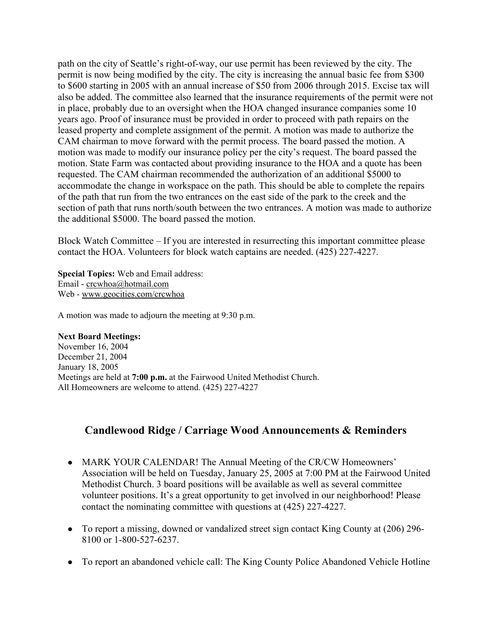path on the city of Seattle's right-of-way, our use permit has been reviewed by the city. The permit is now being modified by the city. The city is increasing the annual basic fee from \$300 to \$600 starting in 2005 with an annual increase of \$50 from 2006 through 2015. Excise tax will also be added. The committee also learned that the insurance requirements of the permit were not in place, probably due to an oversight when the HOA changed insurance companies some 10 years ago. Proof of insurance must be provided in order to proceed with path repairs on the leased property and complete assignment of the permit. A motion was made to authorize the CAM chairman to move forward with the permit process. The board passed the motion. A motion was made to modify our insurance policy per the city's request. The board passed the motion. State Farm was contacted about providing insurance to the HOA and a quote has been requested. The CAM chairman recommended the authorization of an additional \$5000 to accommodate the change in workspace on the path. This should be able to complete the repairs of the path that run from the two entrances on the east side of the park to the creek and the section of path that runs north/south between the two entrances. A motion was made to authorize the additional \$5000. The board passed the motion.

Block Watch Committee – If you are interested in resurrecting this important committee please contact the HOA. Volunteers for block watch captains are needed. (425) 227-4227.

**Special Topics:** Web and Email address: Email - crcwhoa@hotmail.com Web - www.geocities.com/crcwhoa

A motion was made to adjourn the meeting at 9:30 p.m.

#### **Next Board Meetings:**

November 16, 2004 December 21, 2004 January 18, 2005 Meetings are held at **7:00 p.m.** at the Fairwood United Methodist Church. All Homeowners are welcome to attend. (425) 227-4227

# **Candlewood Ridge / Carriage Wood Announcements & Reminders**

- MARK YOUR CALENDAR! The Annual Meeting of the CR/CW Homeowners' Association will be held on Tuesday, January 25, 2005 at 7:00 PM at the Fairwood United Methodist Church. 3 board positions will be available as well as several committee volunteer positions. It's a great opportunity to get involved in our neighborhood! Please contact the nominating committee with questions at (425) 227-4227.
- To report a missing, downed or vandalized street sign contact King County at (206) 296-8100 or 1-800-527-6237.
- To report an abandoned vehicle call: The King County Police Abandoned Vehicle Hotline